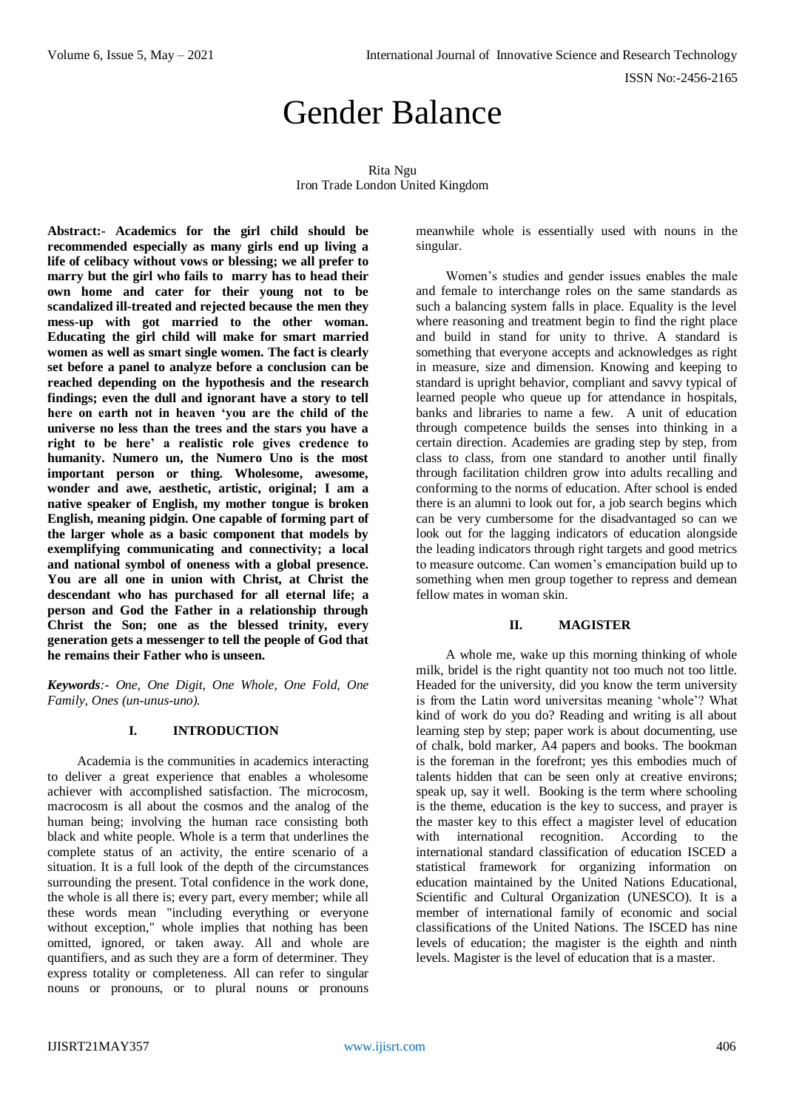# Gender Balance

Rita Ngu Iron Trade London United Kingdom

**Abstract:- Academics for the girl child should be recommended especially as many girls end up living a life of celibacy without vows or blessing; we all prefer to marry but the girl who fails to marry has to head their own home and cater for their young not to be scandalized ill-treated and rejected because the men they mess-up with got married to the other woman. Educating the girl child will make for smart married women as well as smart single women. The fact is clearly set before a panel to analyze before a conclusion can be reached depending on the hypothesis and the research findings; even the dull and ignorant have a story to tell here on earth not in heaven 'you are the child of the universe no less than the trees and the stars you have a right to be here' a realistic role gives credence to humanity. Numero un, the Numero Uno is the most important person or thing. Wholesome, awesome, wonder and awe, aesthetic, artistic, original; I am a native speaker of English, my mother tongue is broken English, meaning pidgin. One capable of forming part of the larger whole as a basic component that models by exemplifying communicating and connectivity; a local and national symbol of oneness with a global presence. You are all one in union with Christ, at Christ the descendant who has purchased for all eternal life; a person and God the Father in a relationship through Christ the Son; one as the blessed trinity, every generation gets a messenger to tell the people of God that he remains their Father who is unseen.**

*Keywords:- One, One Digit, One Whole, One Fold, One Family, Ones (un-unus-uno).*

## **I. INTRODUCTION**

Academia is the communities in academics interacting to deliver a great experience that enables a wholesome achiever with accomplished satisfaction. The microcosm, macrocosm is all about the cosmos and the analog of the human being; involving the human race consisting both black and white people. Whole is a term that underlines the complete status of an activity, the entire scenario of a situation. It is a full look of the depth of the circumstances surrounding the present. Total confidence in the work done, the whole is all there is; every part, every member; while all these words mean "including everything or everyone without exception," whole implies that nothing has been omitted, ignored, or taken away. All and whole are quantifiers, and as such they are a form of determiner. They express totality or completeness. All can refer to singular nouns or pronouns, or to plural nouns or pronouns meanwhile whole is essentially used with nouns in the singular.

Women's studies and gender issues enables the male and female to interchange roles on the same standards as such a balancing system falls in place. Equality is the level where reasoning and treatment begin to find the right place and build in stand for unity to thrive. A standard is something that everyone accepts and acknowledges as right in measure, size and dimension. Knowing and keeping to standard is upright behavior, compliant and savvy typical of learned people who queue up for attendance in hospitals, banks and libraries to name a few. A unit of education through competence builds the senses into thinking in a certain direction. Academies are grading step by step, from class to class, from one standard to another until finally through facilitation children grow into adults recalling and conforming to the norms of education. After school is ended there is an alumni to look out for, a job search begins which can be very cumbersome for the disadvantaged so can we look out for the lagging indicators of education alongside the leading indicators through right targets and good metrics to measure outcome. Can women's emancipation build up to something when men group together to repress and demean fellow mates in woman skin.

## **II. MAGISTER**

A whole me, wake up this morning thinking of whole milk, bridel is the right quantity not too much not too little. Headed for the university, did you know the term university is from the Latin word universitas meaning 'whole'? What kind of work do you do? Reading and writing is all about learning step by step; paper work is about documenting, use of chalk, bold marker, A4 papers and books. The bookman is the foreman in the forefront; yes this embodies much of talents hidden that can be seen only at creative environs; speak up, say it well. Booking is the term where schooling is the theme, education is the key to success, and prayer is the master key to this effect a magister level of education<br>with international recognition. According to the international recognition. According to the international standard classification of education ISCED a statistical framework for organizing information on education maintained by the United Nations Educational, Scientific and Cultural Organization (UNESCO). It is a member of international family of economic and social classifications of the United Nations. The ISCED has nine levels of education; the magister is the eighth and ninth levels. Magister is the level of education that is a master.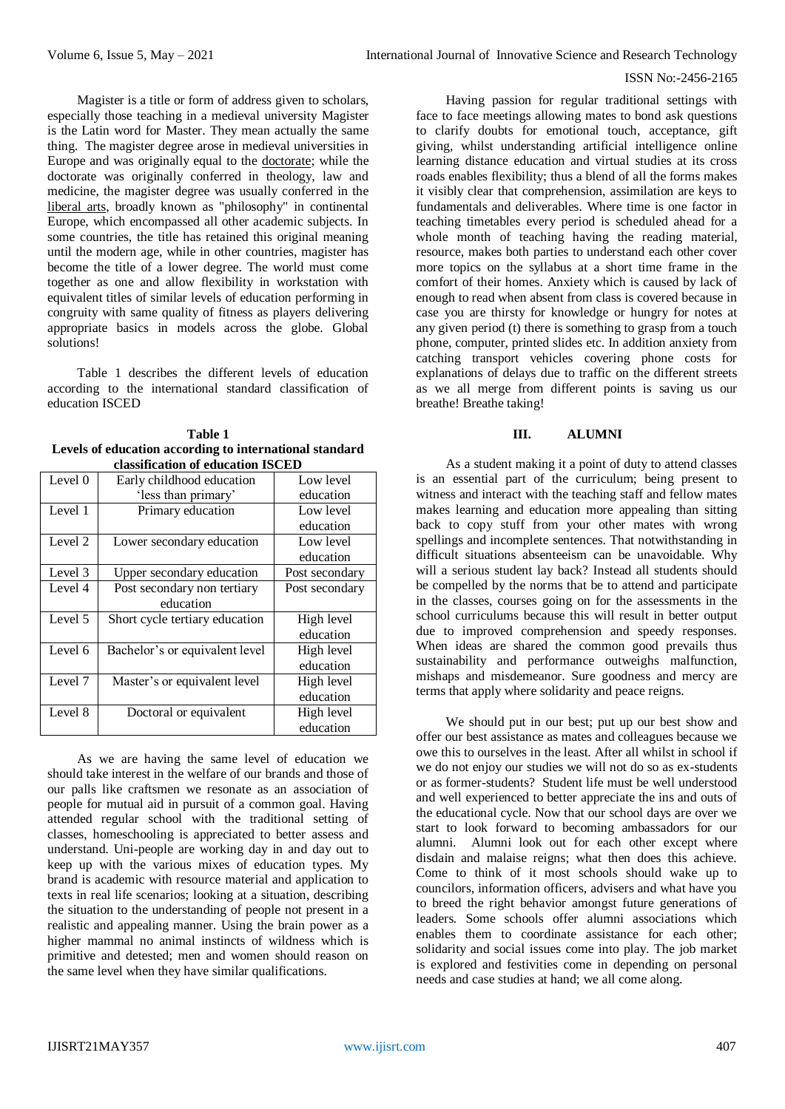Magister is a title or form of address given to scholars, especially those teaching in a medieval university Magister is the Latin word for Master. They mean actually the same thing. The magister degree arose in medieval universities in Europe and was originally equal to the [doctorate;](https://en.wikipedia.org/wiki/Doctorate) while the doctorate was originally conferred in theology, law and medicine, the magister degree was usually conferred in the [liberal arts,](https://en.wikipedia.org/wiki/Liberal_arts) broadly known as "philosophy" in continental Europe, which encompassed all other academic subjects. In some countries, the title has retained this original meaning until the modern age, while in other countries, magister has become the title of a lower degree. The world must come together as one and allow flexibility in workstation with equivalent titles of similar levels of education performing in congruity with same quality of fitness as players delivering appropriate basics in models across the globe. Global solutions!

Table 1 describes the different levels of education according to the international standard classification of education ISCED

| Table 1                                                 |
|---------------------------------------------------------|
| Levels of education according to international standard |
| classification of education ISCED                       |

| chassincauvii vi cuucauvii 19 CLD |                                |                |  |
|-----------------------------------|--------------------------------|----------------|--|
| Level 0                           | Early childhood education      | Low level      |  |
|                                   | 'less than primary'            | education      |  |
| Level 1                           | Primary education              | Low level      |  |
|                                   |                                | education      |  |
| Level 2                           | Lower secondary education      | Low level      |  |
|                                   |                                | education      |  |
| Level 3                           | Upper secondary education      | Post secondary |  |
| Level 4                           | Post secondary non tertiary    | Post secondary |  |
|                                   | education                      |                |  |
| Level 5                           | Short cycle tertiary education | High level     |  |
|                                   |                                | education      |  |
| Level 6                           | Bachelor's or equivalent level | High level     |  |
|                                   |                                | education      |  |
| Level 7                           | Master's or equivalent level   | High level     |  |
|                                   |                                | education      |  |
| Level 8                           | Doctoral or equivalent         | High level     |  |
|                                   |                                | education      |  |

As we are having the same level of education we should take interest in the welfare of our brands and those of our palls like craftsmen we resonate as an association of people for mutual aid in pursuit of a common goal. Having attended regular school with the traditional setting of classes, homeschooling is appreciated to better assess and understand. Uni-people are working day in and day out to keep up with the various mixes of education types. My brand is academic with resource material and application to texts in real life scenarios; looking at a situation, describing the situation to the understanding of people not present in a realistic and appealing manner. Using the brain power as a higher mammal no animal instincts of wildness which is primitive and detested; men and women should reason on the same level when they have similar qualifications.

Having passion for regular traditional settings with face to face meetings allowing mates to bond ask questions to clarify doubts for emotional touch, acceptance, gift giving, whilst understanding artificial intelligence online learning distance education and virtual studies at its cross roads enables flexibility; thus a blend of all the forms makes it visibly clear that comprehension, assimilation are keys to fundamentals and deliverables. Where time is one factor in teaching timetables every period is scheduled ahead for a whole month of teaching having the reading material, resource, makes both parties to understand each other cover more topics on the syllabus at a short time frame in the comfort of their homes. Anxiety which is caused by lack of enough to read when absent from class is covered because in case you are thirsty for knowledge or hungry for notes at any given period (t) there is something to grasp from a touch phone, computer, printed slides etc. In addition anxiety from catching transport vehicles covering phone costs for explanations of delays due to traffic on the different streets as we all merge from different points is saving us our breathe! Breathe taking!

## **III. ALUMNI**

As a student making it a point of duty to attend classes is an essential part of the curriculum; being present to witness and interact with the teaching staff and fellow mates makes learning and education more appealing than sitting back to copy stuff from your other mates with wrong spellings and incomplete sentences. That notwithstanding in difficult situations absenteeism can be unavoidable. Why will a serious student lay back? Instead all students should be compelled by the norms that be to attend and participate in the classes, courses going on for the assessments in the school curriculums because this will result in better output due to improved comprehension and speedy responses. When ideas are shared the common good prevails thus sustainability and performance outweighs malfunction, mishaps and misdemeanor. Sure goodness and mercy are terms that apply where solidarity and peace reigns.

We should put in our best; put up our best show and offer our best assistance as mates and colleagues because we owe this to ourselves in the least. After all whilst in school if we do not enjoy our studies we will not do so as ex-students or as former-students? Student life must be well understood and well experienced to better appreciate the ins and outs of the educational cycle. Now that our school days are over we start to look forward to becoming ambassadors for our alumni. Alumni look out for each other except where disdain and malaise reigns; what then does this achieve. Come to think of it most schools should wake up to councilors, information officers, advisers and what have you to breed the right behavior amongst future generations of leaders. Some schools offer alumni associations which enables them to coordinate assistance for each other; solidarity and social issues come into play. The job market is explored and festivities come in depending on personal needs and case studies at hand; we all come along.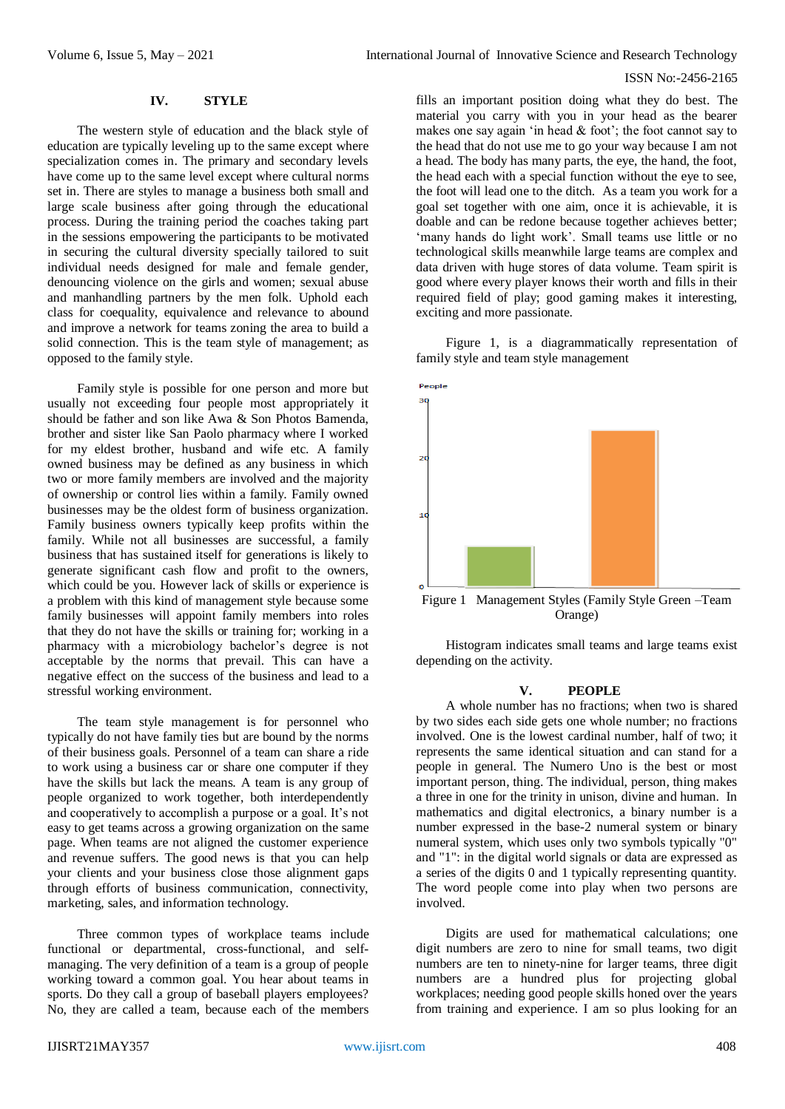## **IV. STYLE**

The western style of education and the black style of education are typically leveling up to the same except where specialization comes in. The primary and secondary levels have come up to the same level except where cultural norms set in. There are styles to manage a business both small and large scale business after going through the educational process. During the training period the coaches taking part in the sessions empowering the participants to be motivated in securing the cultural diversity specially tailored to suit individual needs designed for male and female gender, denouncing violence on the girls and women; sexual abuse and manhandling partners by the men folk. Uphold each class for coequality, equivalence and relevance to abound and improve a network for teams zoning the area to build a solid connection. This is the team style of management; as opposed to the family style.

Family style is possible for one person and more but usually not exceeding four people most appropriately it should be father and son like Awa & Son Photos Bamenda, brother and sister like San Paolo pharmacy where I worked for my eldest brother, husband and wife etc. A family owned business may be defined as any business in which two or more family members are involved and the majority of ownership or control lies within a family. Family owned businesses may be the oldest form of business organization. Family business owners typically keep profits within the family. While not all businesses are successful, a family business that has sustained itself for generations is likely to generate significant cash flow and profit to the owners, which could be you. However lack of skills or experience is a problem with this kind of management style because some family businesses will appoint family members into roles that they do not have the skills or training for; working in a pharmacy with a microbiology bachelor's degree is not acceptable by the norms that prevail. This can have a negative effect on the success of the business and lead to a stressful working environment.

The team style management is for personnel who typically do not have family ties but are bound by the norms of their business goals. Personnel of a team can share a ride to work using a business car or share one computer if they have the skills but lack the means. A team is any group of people organized to work together, both interdependently and cooperatively to accomplish a purpose or a goal. It's not easy to get teams across a growing organization on the same page. When teams are not aligned the customer experience and revenue suffers. The good news is that you can help your clients and your business close those alignment gaps through efforts of business communication, connectivity, marketing, sales, and information technology.

Three common types of workplace teams include functional or departmental, cross-functional, and selfmanaging. The very definition of a team is a group of people working toward a common goal. You hear about teams in sports. Do they call a group of baseball players employees? No, they are called a team, because each of the members

fills an important position doing what they do best. The material you carry with you in your head as the bearer makes one say again 'in head & foot'; the foot cannot say to the head that do not use me to go your way because I am not a head. The body has many parts, the eye, the hand, the foot, the head each with a special function without the eye to see, the foot will lead one to the ditch. As a team you work for a goal set together with one aim, once it is achievable, it is doable and can be redone because together achieves better; 'many hands do light work'. Small teams use little or no technological skills meanwhile large teams are complex and data driven with huge stores of data volume. Team spirit is good where every player knows their worth and fills in their required field of play; good gaming makes it interesting, exciting and more passionate.

Figure 1, is a diagrammatically representation of family style and team style management



Orange)

Histogram indicates small teams and large teams exist depending on the activity.

#### **V. PEOPLE**

A whole number has no fractions; when two is shared by two sides each side gets one whole number; no fractions involved. One is the lowest cardinal number, half of two; it represents the same identical situation and can stand for a people in general. The Numero Uno is the best or most important person, thing. The individual, person, thing makes a three in one for the trinity in unison, divine and human. In mathematics and digital electronics, a binary number is a number expressed in the base-2 numeral system or binary numeral system, which uses only two symbols typically "0" and "1": in the digital world signals or data are expressed as a series of the digits 0 and 1 typically representing quantity. The word people come into play when two persons are involved.

Digits are used for mathematical calculations; one digit numbers are zero to nine for small teams, two digit numbers are ten to ninety-nine for larger teams, three digit numbers are a hundred plus for projecting global workplaces; needing good people skills honed over the years from training and experience. I am so plus looking for an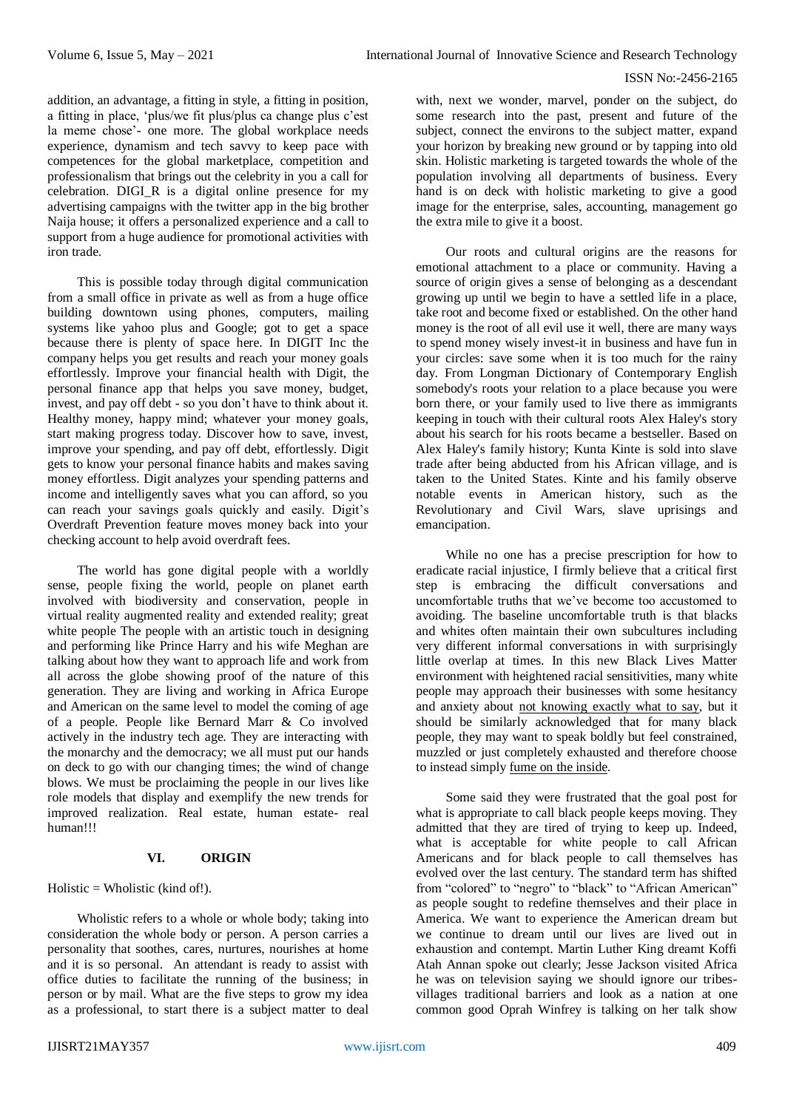addition, an advantage, a fitting in style, a fitting in position, a fitting in place, 'plus/we fit plus/plus ca change plus c'est la meme chose'- one more. The global workplace needs experience, dynamism and tech savvy to keep pace with competences for the global marketplace, competition and professionalism that brings out the celebrity in you a call for celebration. DIGI\_R is a digital online presence for my advertising campaigns with the twitter app in the big brother Naija house; it offers a personalized experience and a call to support from a huge audience for promotional activities with iron trade.

This is possible today through digital communication from a small office in private as well as from a huge office building downtown using phones, computers, mailing systems like yahoo plus and Google; got to get a space because there is plenty of space here. In DIGIT Inc the company helps you get results and reach your money goals effortlessly. Improve your financial health with Digit, the personal finance app that helps you save money, budget, invest, and pay off debt - so you don't have to think about it. Healthy money, happy mind; whatever your money goals, start making progress today. Discover how to save, invest, improve your spending, and pay off debt, effortlessly. Digit gets to know your personal finance habits and makes saving money effortless. Digit analyzes your spending patterns and income and intelligently saves what you can afford, so you can reach your savings goals quickly and easily. Digit's Overdraft Prevention feature moves money back into your checking account to help avoid overdraft fees.

The world has gone digital people with a worldly sense, people fixing the world, people on planet earth involved with biodiversity and conservation, people in virtual reality augmented reality and extended reality; great white people The people with an artistic touch in designing and performing like Prince Harry and his wife Meghan are talking about how they want to approach life and work from all across the globe showing proof of the nature of this generation. They are living and working in Africa Europe and American on the same level to model the coming of age of a people. People like Bernard Marr & Co involved actively in the industry tech age. They are interacting with the monarchy and the democracy; we all must put our hands on deck to go with our changing times; the wind of change blows. We must be proclaiming the people in our lives like role models that display and exemplify the new trends for improved realization. Real estate, human estate- real human!!!

## **VI. ORIGIN**

 $Holistic = Wholistic (kind of!).$ 

Wholistic refers to a whole or whole body; taking into consideration the whole body or person. A person carries a personality that soothes, cares, nurtures, nourishes at home and it is so personal. An attendant is ready to assist with office duties to facilitate the running of the business; in person or by mail. What are the five steps to grow my idea as a professional, to start there is a subject matter to deal

with, next we wonder, marvel, ponder on the subject, do some research into the past, present and future of the subject, connect the environs to the subject matter, expand your horizon by breaking new ground or by tapping into old skin. Holistic marketing is targeted towards the whole of the population involving all departments of business. Every hand is on deck with holistic marketing to give a good image for the enterprise, sales, accounting, management go the extra mile to give it a boost.

Our roots and cultural origins are the reasons for emotional attachment to a place or community. Having a source of origin gives a sense of belonging as a descendant growing up until we begin to have a settled life in a place, take root and become fixed or established. On the other hand money is the root of all evil use it well, there are many ways to spend money wisely invest-it in business and have fun in your circles: save some when it is too much for the rainy day. From Longman Dictionary of Contemporary English somebody's roots your relation to a place because you were born there, or your family used to live there as immigrants keeping in touch with their cultural roots Alex Haley's story about his search for his roots became a bestseller. Based on Alex Haley's family history; Kunta Kinte is sold into slave trade after being abducted from his African village, and is taken to the United States. Kinte and his family observe notable events in American history, such as the Revolutionary and Civil Wars, slave uprisings and emancipation.

While no one has a precise prescription for how to eradicate racial injustice, I firmly believe that a critical first step is embracing the difficult conversations and uncomfortable truths that we've become too accustomed to avoiding. The baseline uncomfortable truth is that blacks and whites often maintain their own subcultures including very different informal conversations in with surprisingly little overlap at times. In this new Black Lives Matter environment with heightened racial sensitivities, many white people may approach their businesses with some hesitancy and anxiety about [not knowing exactly what to say,](https://www.forbes.com/sites/danabrownlee/2020/06/12/the-ellen-degeneres-lesson-this-black-lives-matter-moment-requires-action-not-words/#4d9777614b75) but it should be similarly acknowledged that for many black people, they may want to speak boldly but feel constrained, muzzled or just completely exhausted and therefore choose to instead simpl[y fume on the inside.](https://www.forbes.com/sites/ruthumoh/2020/06/07/smiling-online-fuming-offline-the-plight-of-black-professionals-in-corporate-america/#625681477d2f)

Some said they were frustrated that the goal post for what is appropriate to call black people keeps moving. They admitted that they are tired of trying to keep up. Indeed, what is acceptable for white people to call African Americans and for black people to call themselves has evolved over the last century. The standard term has shifted from "colored" to "negro" to "black" to "African American" as people sought to redefine themselves and their place in America. We want to experience the American dream but we continue to dream until our lives are lived out in exhaustion and contempt. Martin Luther King dreamt Koffi Atah Annan spoke out clearly; Jesse Jackson visited Africa he was on television saying we should ignore our tribesvillages traditional barriers and look as a nation at one common good Oprah Winfrey is talking on her talk show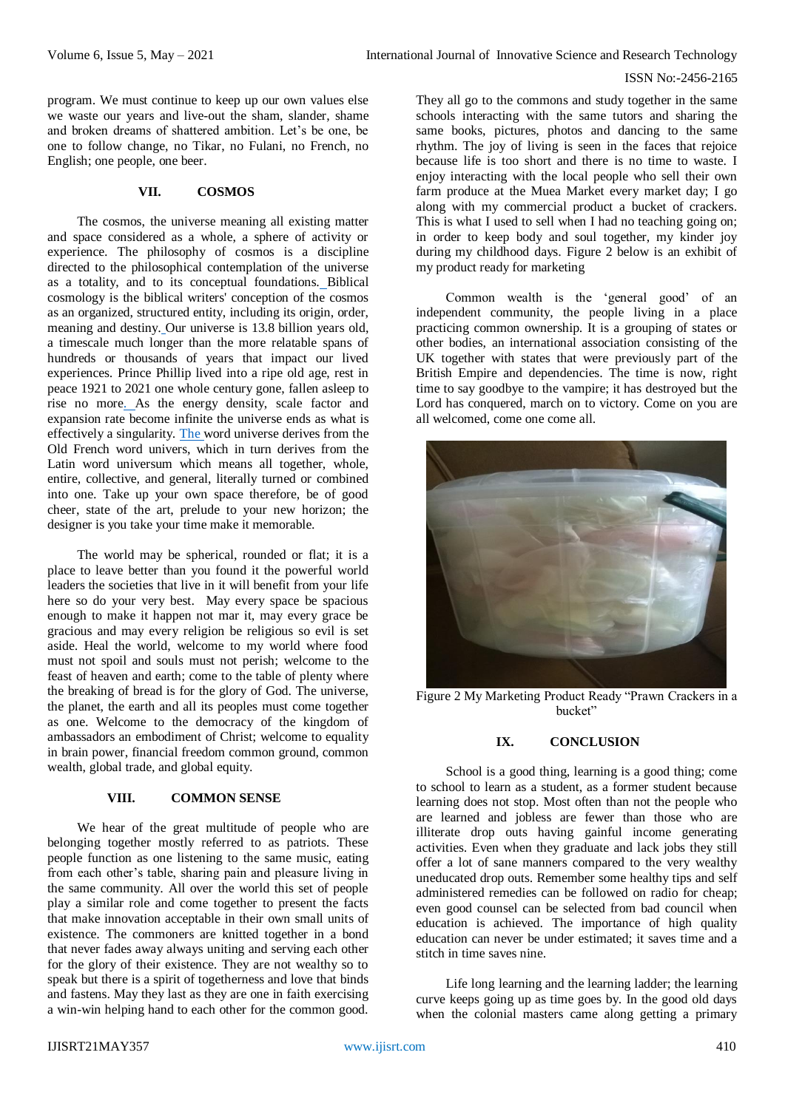program. We must continue to keep up our own values else we waste our years and live-out the sham, slander, shame and broken dreams of shattered ambition. Let's be one, be one to follow change, no Tikar, no Fulani, no French, no English; one people, one beer.

## **VII. COSMOS**

The cosmos, the universe meaning all existing matter and space considered as a whole, a sphere of activity or experience. The philosophy of cosmos is a discipline directed to the philosophical contemplation of the universe as a totality, and to its conceptual foundations. Biblical cosmology is the biblical writers' conception of the cosmos as an organized, structured entity, including its origin, order, meaning and destiny. Our universe is 13.8 billion years old, a timescale much longer than the more relatable spans of hundreds or thousands of years that impact our lived experiences. Prince Phillip lived into a ripe old age, rest in peace 1921 to 2021 one whole century gone, fallen asleep to rise no more. As the energy density, scale factor and expansion rate become infinite the universe ends as what is effectively a singularity. The word universe derives from the Old French word univers, which in turn derives from the Latin word universum which means all together, whole, entire, collective, and general, literally turned or combined into one. Take up your own space therefore, be of good cheer, state of the art, prelude to your new horizon; the designer is you take your time make it memorable.

The world may be spherical, rounded or flat; it is a place to leave better than you found it the powerful world leaders the societies that live in it will benefit from your life here so do your very best. May every space be spacious enough to make it happen not mar it, may every grace be gracious and may every religion be religious so evil is set aside. Heal the world, welcome to my world where food must not spoil and souls must not perish; welcome to the feast of heaven and earth; come to the table of plenty where the breaking of bread is for the glory of God. The universe, the planet, the earth and all its peoples must come together as one. Welcome to the democracy of the kingdom of ambassadors an embodiment of Christ; welcome to equality in brain power, financial freedom common ground, common wealth, global trade, and global equity.

## **VIII. COMMON SENSE**

We hear of the great multitude of people who are belonging together mostly referred to as patriots. These people function as one listening to the same music, eating from each other's table, sharing pain and pleasure living in the same community. All over the world this set of people play a similar role and come together to present the facts that make innovation acceptable in their own small units of existence. The commoners are knitted together in a bond that never fades away always uniting and serving each other for the glory of their existence. They are not wealthy so to speak but there is a spirit of togetherness and love that binds and fastens. May they last as they are one in faith exercising a win-win helping hand to each other for the common good.

They all go to the commons and study together in the same schools interacting with the same tutors and sharing the same books, pictures, photos and dancing to the same rhythm. The joy of living is seen in the faces that rejoice because life is too short and there is no time to waste. I enjoy interacting with the local people who sell their own farm produce at the Muea Market every market day; I go along with my commercial product a bucket of crackers. This is what I used to sell when I had no teaching going on; in order to keep body and soul together, my kinder joy during my childhood days. Figure 2 below is an exhibit of my product ready for marketing

Common wealth is the 'general good' of an independent community, the people living in a place practicing common ownership. It is a grouping of states or other bodies, an international association consisting of the UK together with states that were previously part of the British Empire and dependencies. The time is now, right time to say goodbye to the vampire; it has destroyed but the Lord has conquered, march on to victory. Come on you are all welcomed, come one come all.



Figure 2 My Marketing Product Ready "Prawn Crackers in a bucket"

## **IX. CONCLUSION**

School is a good thing, learning is a good thing; come to school to learn as a student, as a former student because learning does not stop. Most often than not the people who are learned and jobless are fewer than those who are illiterate drop outs having gainful income generating activities. Even when they graduate and lack jobs they still offer a lot of sane manners compared to the very wealthy uneducated drop outs. Remember some healthy tips and self administered remedies can be followed on radio for cheap; even good counsel can be selected from bad council when education is achieved. The importance of high quality education can never be under estimated; it saves time and a stitch in time saves nine.

Life long learning and the learning ladder; the learning curve keeps going up as time goes by. In the good old days when the colonial masters came along getting a primary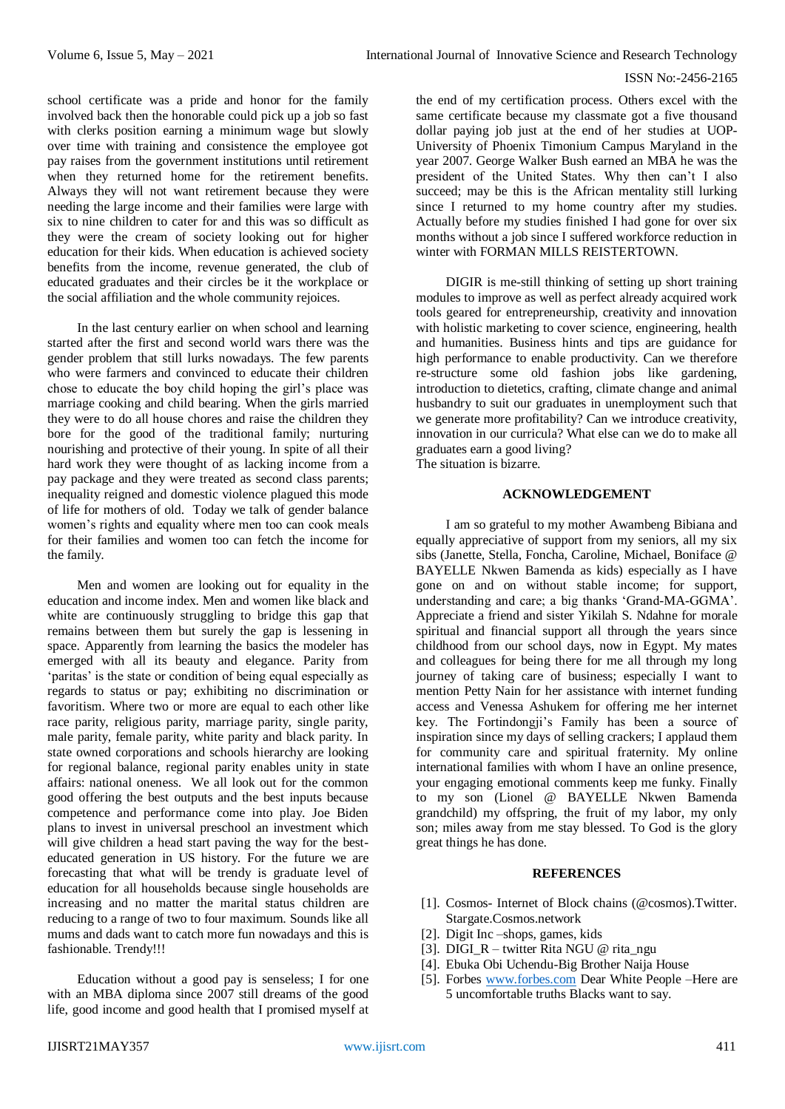school certificate was a pride and honor for the family involved back then the honorable could pick up a job so fast with clerks position earning a minimum wage but slowly over time with training and consistence the employee got pay raises from the government institutions until retirement when they returned home for the retirement benefits. Always they will not want retirement because they were needing the large income and their families were large with six to nine children to cater for and this was so difficult as they were the cream of society looking out for higher education for their kids. When education is achieved society benefits from the income, revenue generated, the club of educated graduates and their circles be it the workplace or the social affiliation and the whole community rejoices.

In the last century earlier on when school and learning started after the first and second world wars there was the gender problem that still lurks nowadays. The few parents who were farmers and convinced to educate their children chose to educate the boy child hoping the girl's place was marriage cooking and child bearing. When the girls married they were to do all house chores and raise the children they bore for the good of the traditional family; nurturing nourishing and protective of their young. In spite of all their hard work they were thought of as lacking income from a pay package and they were treated as second class parents; inequality reigned and domestic violence plagued this mode of life for mothers of old. Today we talk of gender balance women's rights and equality where men too can cook meals for their families and women too can fetch the income for the family.

Men and women are looking out for equality in the education and income index. Men and women like black and white are continuously struggling to bridge this gap that remains between them but surely the gap is lessening in space. Apparently from learning the basics the modeler has emerged with all its beauty and elegance. Parity from 'paritas' is the state or condition of being equal especially as regards to status or pay; exhibiting no discrimination or favoritism. Where two or more are equal to each other like race parity, religious parity, marriage parity, single parity, male parity, female parity, white parity and black parity. In state owned corporations and schools hierarchy are looking for regional balance, regional parity enables unity in state affairs: national oneness. We all look out for the common good offering the best outputs and the best inputs because competence and performance come into play. Joe Biden plans to invest in universal preschool an investment which will give children a head start paving the way for the besteducated generation in US history. For the future we are forecasting that what will be trendy is graduate level of education for all households because single households are increasing and no matter the marital status children are reducing to a range of two to four maximum. Sounds like all mums and dads want to catch more fun nowadays and this is fashionable. Trendy!!!

Education without a good pay is senseless; I for one with an MBA diploma since 2007 still dreams of the good life, good income and good health that I promised myself at the end of my certification process. Others excel with the same certificate because my classmate got a five thousand dollar paying job just at the end of her studies at UOP-University of Phoenix Timonium Campus Maryland in the year 2007. George Walker Bush earned an MBA he was the president of the United States. Why then can't I also succeed; may be this is the African mentality still lurking since I returned to my home country after my studies. Actually before my studies finished I had gone for over six months without a job since I suffered workforce reduction in winter with FORMAN MILLS REISTERTOWN.

DIGIR is me-still thinking of setting up short training modules to improve as well as perfect already acquired work tools geared for entrepreneurship, creativity and innovation with holistic marketing to cover science, engineering, health and humanities. Business hints and tips are guidance for high performance to enable productivity. Can we therefore re-structure some old fashion jobs like gardening, introduction to dietetics, crafting, climate change and animal husbandry to suit our graduates in unemployment such that we generate more profitability? Can we introduce creativity, innovation in our curricula? What else can we do to make all graduates earn a good living? The situation is bizarre.

## **ACKNOWLEDGEMENT**

I am so grateful to my mother Awambeng Bibiana and equally appreciative of support from my seniors, all my six sibs (Janette, Stella, Foncha, Caroline, Michael, Boniface @ BAYELLE Nkwen Bamenda as kids) especially as I have gone on and on without stable income; for support, understanding and care; a big thanks 'Grand-MA-GGMA'. Appreciate a friend and sister Yikilah S. Ndahne for morale spiritual and financial support all through the years since childhood from our school days, now in Egypt. My mates and colleagues for being there for me all through my long journey of taking care of business; especially I want to mention Petty Nain for her assistance with internet funding access and Venessa Ashukem for offering me her internet key. The Fortindongji's Family has been a source of inspiration since my days of selling crackers; I applaud them for community care and spiritual fraternity. My online international families with whom I have an online presence, your engaging emotional comments keep me funky. Finally to my son (Lionel @ BAYELLE Nkwen Bamenda grandchild) my offspring, the fruit of my labor, my only son; miles away from me stay blessed. To God is the glory great things he has done.

## **REFERENCES**

- [1]. Cosmos- Internet of Block chains (@cosmos).Twitter. Stargate.Cosmos.network
- [2]. Digit Inc –shops, games, kids
- [3]. DIGI R twitter Rita NGU @ rita\_ngu
- [4]. Ebuka Obi Uchendu-Big Brother Naija House
- [5]. Forbes [www.forbes.com](http://www.forbes.com/) Dear White People –Here are 5 uncomfortable truths Blacks want to say.